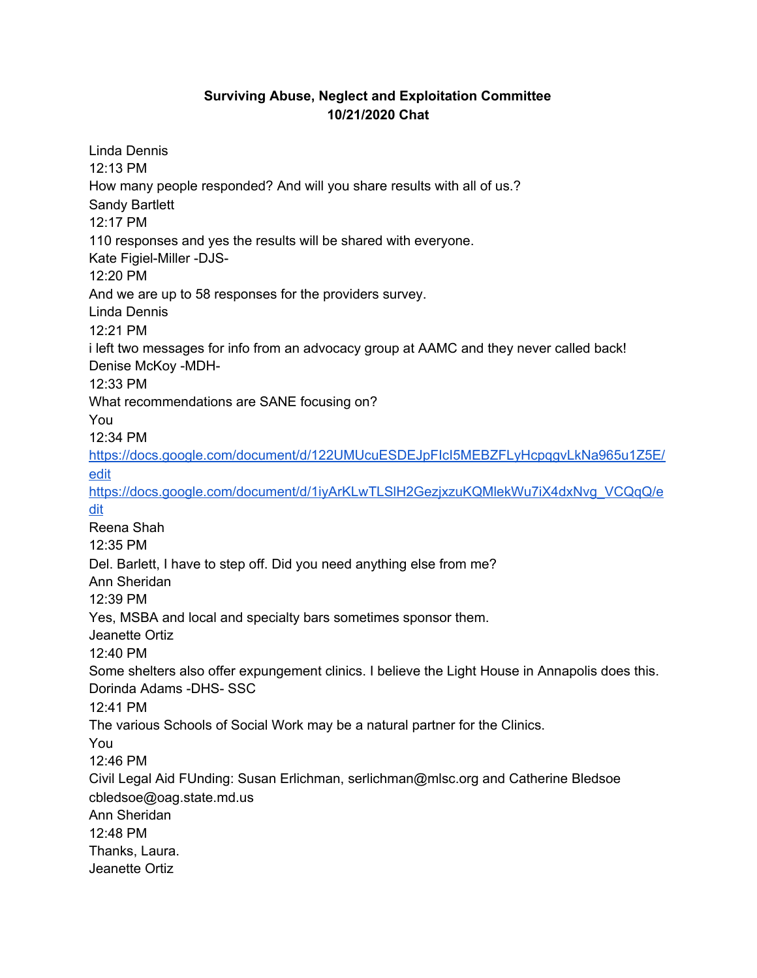## **Surviving Abuse, Neglect and Exploitation Committee 10/21/2020 Chat**

Linda Dennis 12:13 PM How many people responded? And will you share results with all of us.? Sandy Bartlett 12:17 PM 110 responses and yes the results will be shared with everyone. Kate Figiel-Miller -DJS-12:20 PM And we are up to 58 responses for the providers survey. Linda Dennis 12:21 PM i left two messages for info from an advocacy group at AAMC and they never called back! Denise McKoy -MDH-12:33 PM What recommendations are SANE focusing on? You 12:34 PM [https://docs.google.com/document/d/122UMUcuESDEJpFIcI5MEBZFLyHcpqgvLkNa965u1Z5E/](https://meet.google.com/linkredirect?authuser=1&dest=https%3A%2F%2Fdocs.google.com%2Fdocument%2Fd%2F122UMUcuESDEJpFIcI5MEBZFLyHcpqgvLkNa965u1Z5E%2Fedit) [edit](https://meet.google.com/linkredirect?authuser=1&dest=https%3A%2F%2Fdocs.google.com%2Fdocument%2Fd%2F122UMUcuESDEJpFIcI5MEBZFLyHcpqgvLkNa965u1Z5E%2Fedit) [https://docs.google.com/document/d/1iyArKLwTLSlH2GezjxzuKQMlekWu7iX4dxNvg\\_VCQqQ/e](https://meet.google.com/linkredirect?authuser=1&dest=https%3A%2F%2Fdocs.google.com%2Fdocument%2Fd%2F1iyArKLwTLSlH2GezjxzuKQMlekWu7iX4dxNvg_VCQqQ%2Fedit) [dit](https://meet.google.com/linkredirect?authuser=1&dest=https%3A%2F%2Fdocs.google.com%2Fdocument%2Fd%2F1iyArKLwTLSlH2GezjxzuKQMlekWu7iX4dxNvg_VCQqQ%2Fedit) Reena Shah 12:35 PM Del. Barlett, I have to step off. Did you need anything else from me? Ann Sheridan 12:39 PM Yes, MSBA and local and specialty bars sometimes sponsor them. Jeanette Ortiz 12:40 PM Some shelters also offer expungement clinics. I believe the Light House in Annapolis does this. Dorinda Adams -DHS- SSC 12:41 PM The various Schools of Social Work may be a natural partner for the Clinics. You 12:46 PM Civil Legal Aid FUnding: Susan Erlichman, serlichman@mlsc.org and Catherine Bledsoe cbledsoe@oag.state.md.us Ann Sheridan 12:48 PM Thanks, Laura. Jeanette Ortiz